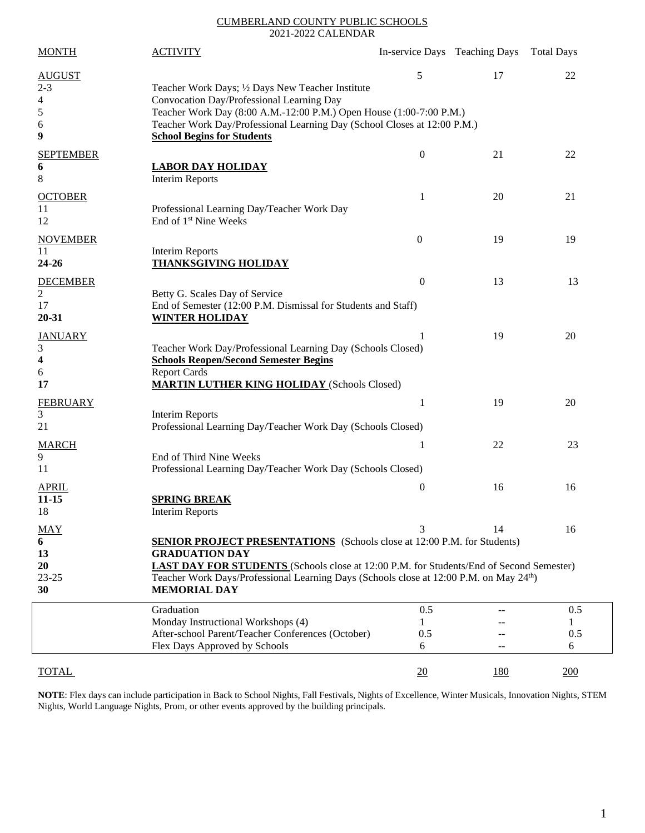## CUMBERLAND COUNTY PUBLIC SCHOOLS 2021-2022 CALENDAR

| <b>MONTH</b>                                                         | <b>ACTIVITY</b>                                                                                                                                                                                                                                                                                                                                          |                      | In-service Days Teaching Days Total Days |                 |
|----------------------------------------------------------------------|----------------------------------------------------------------------------------------------------------------------------------------------------------------------------------------------------------------------------------------------------------------------------------------------------------------------------------------------------------|----------------------|------------------------------------------|-----------------|
| <b>AUGUST</b><br>$2 - 3$<br>4<br>$\sqrt{5}$<br>6<br>$\boldsymbol{9}$ | Teacher Work Days; 1/2 Days New Teacher Institute<br>Convocation Day/Professional Learning Day<br>Teacher Work Day (8:00 A.M.-12:00 P.M.) Open House (1:00-7:00 P.M.)<br>Teacher Work Day/Professional Learning Day (School Closes at 12:00 P.M.)<br><b>School Begins for Students</b>                                                                   | 5                    | 17                                       | 22              |
| <b>SEPTEMBER</b><br>6<br>$\,8\,$                                     | <b>LABOR DAY HOLIDAY</b><br><b>Interim Reports</b>                                                                                                                                                                                                                                                                                                       | $\boldsymbol{0}$     | 21                                       | 22              |
| <b>OCTOBER</b><br>11<br>12                                           | Professional Learning Day/Teacher Work Day<br>End of 1 <sup>st</sup> Nine Weeks                                                                                                                                                                                                                                                                          | 1                    | 20                                       | 21              |
| <b>NOVEMBER</b><br>11<br>24-26                                       | <b>Interim Reports</b><br><b>THANKSGIVING HOLIDAY</b>                                                                                                                                                                                                                                                                                                    | $\mathbf{0}$         | 19                                       | 19              |
| <b>DECEMBER</b><br>2<br>17<br>20-31                                  | Betty G. Scales Day of Service<br>End of Semester (12:00 P.M. Dismissal for Students and Staff)<br><b>WINTER HOLIDAY</b>                                                                                                                                                                                                                                 | $\theta$             | 13                                       | 13              |
| <b>JANUARY</b><br>3<br>4<br>6<br>17                                  | Teacher Work Day/Professional Learning Day (Schools Closed)<br><b>Schools Reopen/Second Semester Begins</b><br><b>Report Cards</b><br><b>MARTIN LUTHER KING HOLIDAY (Schools Closed)</b>                                                                                                                                                                 |                      | 19                                       | 20              |
| <b>FEBRUARY</b><br>3<br>21                                           | Interim Reports<br>Professional Learning Day/Teacher Work Day (Schools Closed)                                                                                                                                                                                                                                                                           | 1                    | 19                                       | 20              |
| <b>MARCH</b><br>9<br>11                                              | End of Third Nine Weeks<br>Professional Learning Day/Teacher Work Day (Schools Closed)                                                                                                                                                                                                                                                                   | 1                    | 22                                       | 23              |
| <b>APRIL</b><br>$11 - 15$<br>18                                      | <b>SPRING BREAK</b><br><b>Interim Reports</b>                                                                                                                                                                                                                                                                                                            | $\boldsymbol{0}$     | 16                                       | 16              |
| <b>MAY</b><br>6<br>13<br><b>20</b><br>$23 - 25$<br>30                | 3<br>14<br>16<br><b>SENIOR PROJECT PRESENTATIONS</b> (Schools close at 12:00 P.M. for Students)<br><b>GRADUATION DAY</b><br><b>LAST DAY FOR STUDENTS</b> (Schools close at 12:00 P.M. for Students/End of Second Semester)<br>Teacher Work Days/Professional Learning Days (Schools close at 12:00 P.M. on May 24 <sup>th</sup> )<br><b>MEMORIAL DAY</b> |                      |                                          |                 |
|                                                                      | Graduation<br>Monday Instructional Workshops (4)<br>After-school Parent/Teacher Conferences (October)<br>Flex Days Approved by Schools                                                                                                                                                                                                                   | 0.5<br>1<br>0.5<br>6 |                                          | 0.5<br>0.5<br>6 |
| <b>TOTAL</b>                                                         |                                                                                                                                                                                                                                                                                                                                                          | 20                   | <u>180</u>                               | 200             |

**NOTE**: Flex days can include participation in Back to School Nights, Fall Festivals, Nights of Excellence, Winter Musicals, Innovation Nights, STEM Nights, World Language Nights, Prom, or other events approved by the building principals.